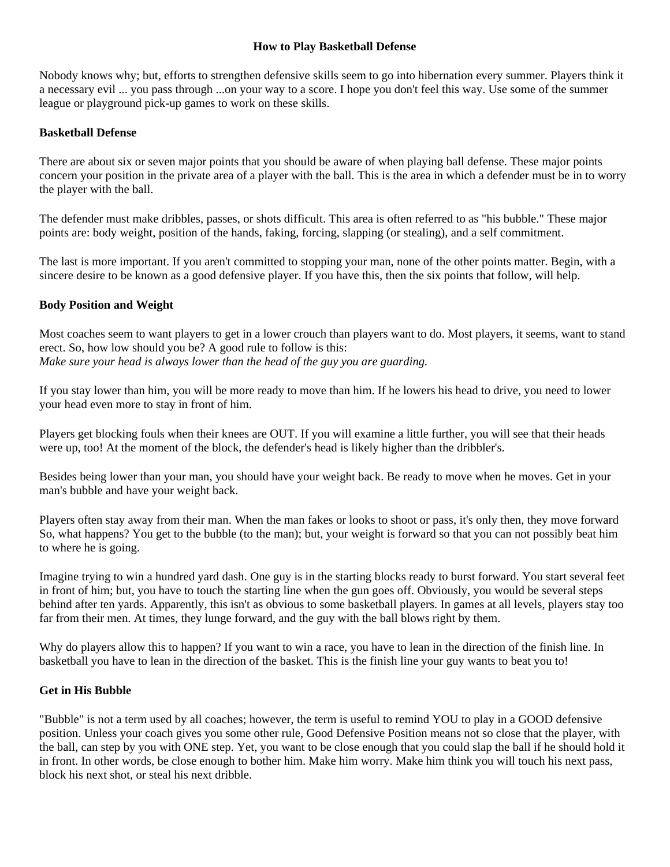#### **How to Play Basketball Defense**

Nobody knows why; but, efforts to strengthen defensive skills seem to go into hibernation every summer. Players think it a necessary evil ... you pass through ...on your way to a score. I hope you don't feel this way. Use some of the summer league or playground pick-up games to work on these skills.

# **Basketball Defense**

There are about six or seven major points that you should be aware of when playing ball defense. These major points concern your position in the private area of a player with the ball. This is the area in which a defender must be in to worry the player with the ball.

The defender must make dribbles, passes, or shots difficult. This area is often referred to as "his bubble." These major points are: body weight, position of the hands, faking, forcing, slapping (or stealing), and a self commitment.

The last is more important. If you aren't committed to stopping your man, none of the other points matter. Begin, with a sincere desire to be known as a good defensive player. If you have this, then the six points that follow, will help.

# **Body Position and Weight**

Most coaches seem to want players to get in a lower crouch than players want to do. Most players, it seems, want to stand erect. So, how low should you be? A good rule to follow is this: *Make sure your head is always lower than the head of the guy you are guarding.*

If you stay lower than him, you will be more ready to move than him. If he lowers his head to drive, you need to lower your head even more to stay in front of him.

Players get blocking fouls when their knees are OUT. If you will examine a little further, you will see that their heads were up, too! At the moment of the block, the defender's head is likely higher than the dribbler's.

Besides being lower than your man, you should have your weight back. Be ready to move when he moves. Get in your man's bubble and have your weight back.

Players often stay away from their man. When the man fakes or looks to shoot or pass, it's only then, they move forward So, what happens? You get to the bubble (to the man); but, your weight is forward so that you can not possibly beat him to where he is going.

Imagine trying to win a hundred yard dash. One guy is in the starting blocks ready to burst forward. You start several feet in front of him; but, you have to touch the starting line when the gun goes off. Obviously, you would be several steps behind after ten yards. Apparently, this isn't as obvious to some basketball players. In games at all levels, players stay too far from their men. At times, they lunge forward, and the guy with the ball blows right by them.

Why do players allow this to happen? If you want to win a race, you have to lean in the direction of the finish line. In basketball you have to lean in the direction of the basket. This is the finish line your guy wants to beat you to!

#### **Get in His Bubble**

"Bubble" is not a term used by all coaches; however, the term is useful to remind YOU to play in a GOOD defensive position. Unless your coach gives you some other rule, Good Defensive Position means not so close that the player, with the ball, can step by you with ONE step. Yet, you want to be close enough that you could slap the ball if he should hold it in front. In other words, be close enough to bother him. Make him worry. Make him think you will touch his next pass, block his next shot, or steal his next dribble.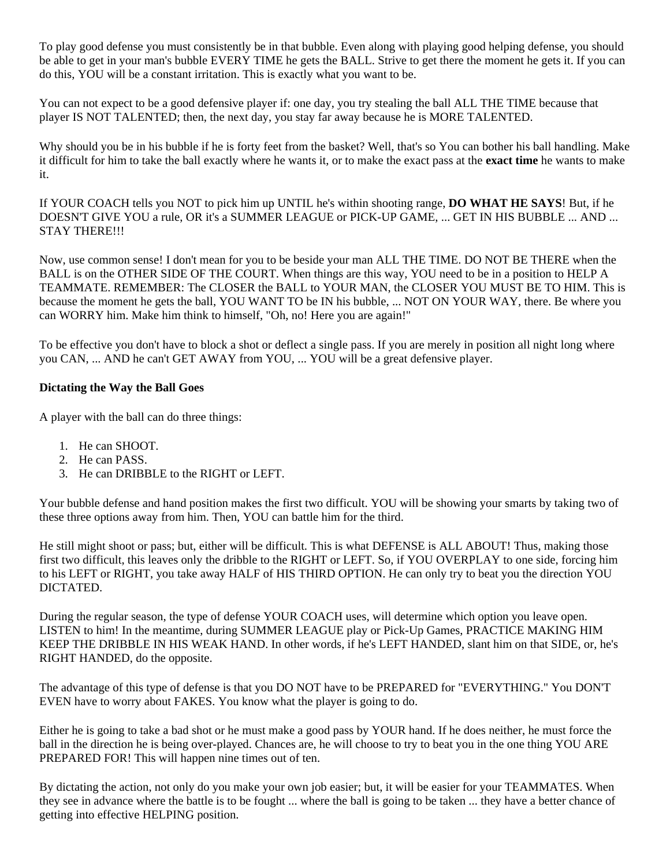To play good defense you must consistently be in that bubble. Even along with playing good helping defense, you should be able to get in your man's bubble EVERY TIME he gets the BALL. Strive to get there the moment he gets it. If you can do this, YOU will be a constant irritation. This is exactly what you want to be.

You can not expect to be a good defensive player if: one day, you try stealing the ball ALL THE TIME because that player IS NOT TALENTED; then, the next day, you stay far away because he is MORE TALENTED.

Why should you be in his bubble if he is forty feet from the basket? Well, that's so You can bother his ball handling. Make it difficult for him to take the ball exactly where he wants it, or to make the exact pass at the **exact time** he wants to make it.

If YOUR COACH tells you NOT to pick him up UNTIL he's within shooting range, **DO WHAT HE SAYS**! But, if he DOESN'T GIVE YOU a rule, OR it's a SUMMER LEAGUE or PICK-UP GAME, ... GET IN HIS BUBBLE ... AND ... STAY THERE!!!

Now, use common sense! I don't mean for you to be beside your man ALL THE TIME. DO NOT BE THERE when the BALL is on the OTHER SIDE OF THE COURT. When things are this way, YOU need to be in a position to HELP A TEAMMATE. REMEMBER: The CLOSER the BALL to YOUR MAN, the CLOSER YOU MUST BE TO HIM. This is because the moment he gets the ball, YOU WANT TO be IN his bubble, ... NOT ON YOUR WAY, there. Be where you can WORRY him. Make him think to himself, "Oh, no! Here you are again!"

To be effective you don't have to block a shot or deflect a single pass. If you are merely in position all night long where you CAN, ... AND he can't GET AWAY from YOU, ... YOU will be a great defensive player.

# **Dictating the Way the Ball Goes**

A player with the ball can do three things:

- 1. He can SHOOT.
- 2. He can PASS.
- 3. He can DRIBBLE to the RIGHT or LEFT.

Your bubble defense and hand position makes the first two difficult. YOU will be showing your smarts by taking two of these three options away from him. Then, YOU can battle him for the third.

He still might shoot or pass; but, either will be difficult. This is what DEFENSE is ALL ABOUT! Thus, making those first two difficult, this leaves only the dribble to the RIGHT or LEFT. So, if YOU OVERPLAY to one side, forcing him to his LEFT or RIGHT, you take away HALF of HIS THIRD OPTION. He can only try to beat you the direction YOU DICTATED.

During the regular season, the type of defense YOUR COACH uses, will determine which option you leave open. LISTEN to him! In the meantime, during SUMMER LEAGUE play or Pick-Up Games, PRACTICE MAKING HIM KEEP THE DRIBBLE IN HIS WEAK HAND. In other words, if he's LEFT HANDED, slant him on that SIDE, or, he's RIGHT HANDED, do the opposite.

The advantage of this type of defense is that you DO NOT have to be PREPARED for "EVERYTHING." You DON'T EVEN have to worry about FAKES. You know what the player is going to do.

Either he is going to take a bad shot or he must make a good pass by YOUR hand. If he does neither, he must force the ball in the direction he is being over-played. Chances are, he will choose to try to beat you in the one thing YOU ARE PREPARED FOR! This will happen nine times out of ten.

By dictating the action, not only do you make your own job easier; but, it will be easier for your TEAMMATES. When they see in advance where the battle is to be fought ... where the ball is going to be taken ... they have a better chance of getting into effective HELPING position.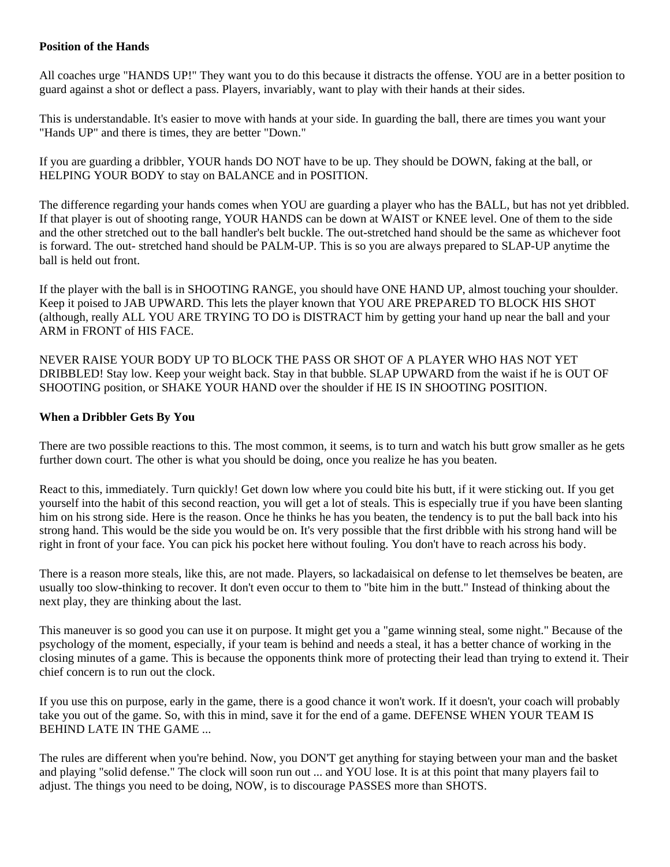#### **Position of the Hands**

All coaches urge "HANDS UP!" They want you to do this because it distracts the offense. YOU are in a better position to guard against a shot or deflect a pass. Players, invariably, want to play with their hands at their sides.

This is understandable. It's easier to move with hands at your side. In guarding the ball, there are times you want your "Hands UP" and there is times, they are better "Down."

If you are guarding a dribbler, YOUR hands DO NOT have to be up. They should be DOWN, faking at the ball, or HELPING YOUR BODY to stay on BALANCE and in POSITION.

The difference regarding your hands comes when YOU are guarding a player who has the BALL, but has not yet dribbled. If that player is out of shooting range, YOUR HANDS can be down at WAIST or KNEE level. One of them to the side and the other stretched out to the ball handler's belt buckle. The out-stretched hand should be the same as whichever foot is forward. The out- stretched hand should be PALM-UP. This is so you are always prepared to SLAP-UP anytime the ball is held out front.

If the player with the ball is in SHOOTING RANGE, you should have ONE HAND UP, almost touching your shoulder. Keep it poised to JAB UPWARD. This lets the player known that YOU ARE PREPARED TO BLOCK HIS SHOT (although, really ALL YOU ARE TRYING TO DO is DISTRACT him by getting your hand up near the ball and your ARM in FRONT of HIS FACE.

NEVER RAISE YOUR BODY UP TO BLOCK THE PASS OR SHOT OF A PLAYER WHO HAS NOT YET DRIBBLED! Stay low. Keep your weight back. Stay in that bubble. SLAP UPWARD from the waist if he is OUT OF SHOOTING position, or SHAKE YOUR HAND over the shoulder if HE IS IN SHOOTING POSITION.

# **When a Dribbler Gets By You**

There are two possible reactions to this. The most common, it seems, is to turn and watch his butt grow smaller as he gets further down court. The other is what you should be doing, once you realize he has you beaten.

React to this, immediately. Turn quickly! Get down low where you could bite his butt, if it were sticking out. If you get yourself into the habit of this second reaction, you will get a lot of steals. This is especially true if you have been slanting him on his strong side. Here is the reason. Once he thinks he has you beaten, the tendency is to put the ball back into his strong hand. This would be the side you would be on. It's very possible that the first dribble with his strong hand will be right in front of your face. You can pick his pocket here without fouling. You don't have to reach across his body.

There is a reason more steals, like this, are not made. Players, so lackadaisical on defense to let themselves be beaten, are usually too slow-thinking to recover. It don't even occur to them to "bite him in the butt." Instead of thinking about the next play, they are thinking about the last.

This maneuver is so good you can use it on purpose. It might get you a "game winning steal, some night." Because of the psychology of the moment, especially, if your team is behind and needs a steal, it has a better chance of working in the closing minutes of a game. This is because the opponents think more of protecting their lead than trying to extend it. Their chief concern is to run out the clock.

If you use this on purpose, early in the game, there is a good chance it won't work. If it doesn't, your coach will probably take you out of the game. So, with this in mind, save it for the end of a game. DEFENSE WHEN YOUR TEAM IS BEHIND LATE IN THE GAME ...

The rules are different when you're behind. Now, you DON'T get anything for staying between your man and the basket and playing "solid defense." The clock will soon run out ... and YOU lose. It is at this point that many players fail to adjust. The things you need to be doing, NOW, is to discourage PASSES more than SHOTS.